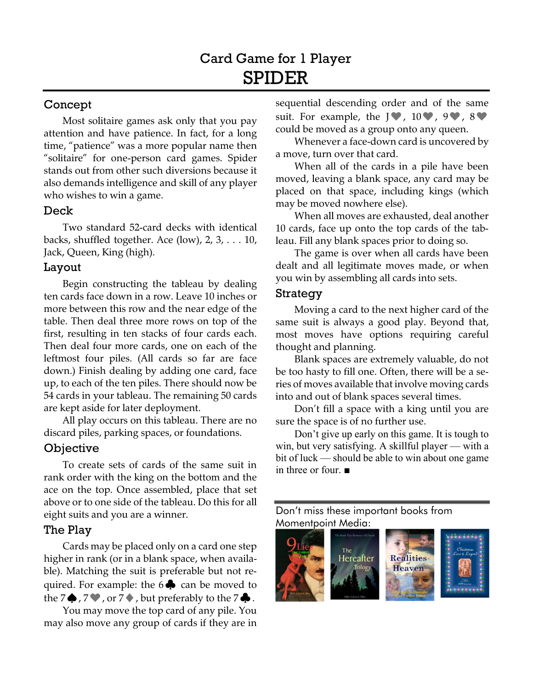# Concept

Most solitaire games ask only that you pay attention and have patience. In fact, for a long time, "patience" was a more popular name then "solitaire" for one-person card games. Spider stands out from other such diversions because it also demands intelligence and skill of any player who wishes to win a game.

#### Deck

Two standard 52-card decks with identical backs, shuffled together. Ace  $(low)$ , 2, 3,  $\dots$  10, Jack, Queen, King (high).

#### Layout

Begin constructing the tableau by dealing ten cards face down in a row. Leave 10 inches or more between this row and the near edge of the table. Then deal three more rows on top of the first, resulting in ten stacks of four cards each. Then deal four more cards, one on each of the leftmost four piles. (All cards so far are face down.) Finish dealing by adding one card, face up, to each of the ten piles. There should now be 54 cards in your tableau. The remaining 50 cards are kept aside for later deployment.

All play occurs on this tableau. There are no discard piles, parking spaces, or foundations.

## **Objective**

To create sets of cards of the same suit in rank order with the king on the bottom and the ace on the top. Once assembled, place that set above or to one side of the tableau. Do this for all eight suits and you are a winner.

## The Play

Cards may be placed only on a card one step higher in rank (or in a blank space, when available). Matching the suit is preferable but not required. For example: the  $6\clubsuit$  can be moved to the 7 $\bigcirc$ , 7 $\bigcirc$ , or 7 $\bigcirc$ , but preferably to the 7 $\bigcirc$ .

You may move the top card of any pile. You may also move any group of cards if they are in

sequential descending order and of the same suit. For example, the  $J\Psi$ ,  $10\Psi$ ,  $9\Psi$ ,  $8\Psi$ could be moved as a group onto any queen.

Whenever a face-down card is uncovered by a move, turn over that card.

When all of the cards in a pile have been moved, leaving a blank space, any card may be placed on that space, including kings (which may be moved nowhere else).

When all moves are exhausted, deal another 10 cards, face up onto the top cards of the tableau. Fill any blank spaces prior to doing so.

The game is over when all cards have been dealt and all legitimate moves made, or when you win by assembling all cards into sets.

## Strategy

Moving a card to the next higher card of the same suit is always a good play. Beyond that, most moves have options requiring careful thought and planning.

Blank spaces are extremely valuable, do not be too hasty to fill one. Often, there will be a series of moves available that involve moving cards into and out of blank spaces several times.

Don't fill a space with a king until you are sure the space is of no further use.

Don't give up early on this game. It is tough to win, but very satisfying. A skillful player — with a bit of luck — should be able to win about one game in three or four. ■

[Don't miss these important books from](http://www.momentpointmedia.com)  Momentpoint Media: